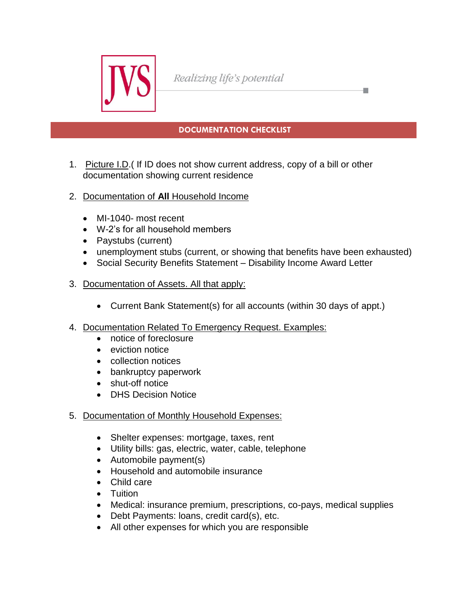

Realizing life's potential

## **DOCUMENTATION CHECKLIST**

a.

- 1. Picture I.D.( If ID does not show current address, copy of a bill or other documentation showing current residence
- 2. Documentation of **All** Household Income
	- MI-1040- most recent
	- W-2's for all household members
	- Paystubs (current)
	- unemployment stubs (current, or showing that benefits have been exhausted)
	- Social Security Benefits Statement Disability Income Award Letter
- 3. Documentation of Assets. All that apply:
	- Current Bank Statement(s) for all accounts (within 30 days of appt.)
- 4. Documentation Related To Emergency Request. Examples:
	- notice of foreclosure
	- eviction notice
	- collection notices
	- bankruptcy paperwork
	- shut-off notice
	- **DHS Decision Notice**
- 5. Documentation of Monthly Household Expenses:
	- Shelter expenses: mortgage, taxes, rent
	- Utility bills: gas, electric, water, cable, telephone
	- Automobile payment(s)
	- Household and automobile insurance
	- Child care
	- Tuition
	- Medical: insurance premium, prescriptions, co-pays, medical supplies
	- Debt Payments: Ioans, credit card(s), etc.
	- All other expenses for which you are responsible